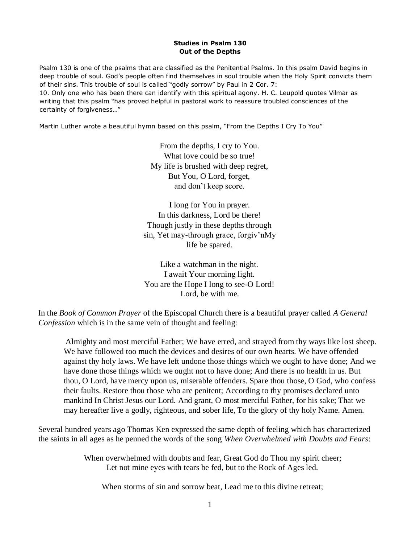## **Studies in Psalm 130 Out of the Depths**

Psalm 130 is one of the psalms that are classified as the Penitential Psalms. In this psalm David begins in deep trouble of soul. God's people often find themselves in soul trouble when the Holy Spirit convicts them of their sins. This trouble of soul is called "godly sorrow" by Paul in 2 Cor. 7:

10. Only one who has been there can identify with this spiritual agony. H. C. Leupold quotes Vilmar as writing that this psalm "has proved helpful in pastoral work to reassure troubled consciences of the certainty of forgiveness…"

Martin Luther wrote a beautiful hymn based on this psalm, "From the Depths I Cry To You"

From the depths, I cry to You. What love could be so true! My life is brushed with deep regret, But You, O Lord, forget, and don't keep score.

I long for You in prayer. In this darkness, Lord be there! Though justly in these depths through sin, Yet may-through grace, forgiv'nMy life be spared.

Like a watchman in the night. I await Your morning light. You are the Hope I long to see-O Lord! Lord, be with me.

In the *Book of Common Prayer* of the Episcopal Church there is a beautiful prayer called *A General Confession* which is in the same vein of thought and feeling:

Almighty and most merciful Father; We have erred, and strayed from thy ways like lost sheep. We have followed too much the devices and desires of our own hearts. We have offended against thy holy laws. We have left undone those things which we ought to have done; And we have done those things which we ought not to have done; And there is no health in us. But thou, O Lord, have mercy upon us, miserable offenders. Spare thou those, O God, who confess their faults. Restore thou those who are penitent; According to thy promises declared unto mankind In Christ Jesus our Lord. And grant, O most merciful Father, for his sake; That we may hereafter live a godly, righteous, and sober life, To the glory of thy holy Name. Amen.

Several hundred years ago Thomas Ken expressed the same depth of feeling which has characterized the saints in all ages as he penned the words of the song *When Overwhelmed with Doubts and Fears*:

> When overwhelmed with doubts and fear, Great God do Thou my spirit cheer; Let not mine eyes with tears be fed, but to the Rock of Ages led.

When storms of sin and sorrow beat, Lead me to this divine retreat;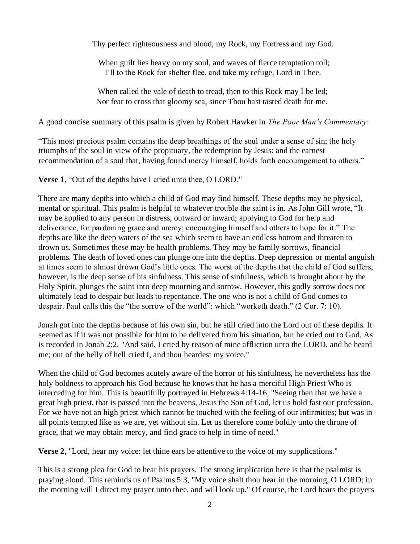Thy perfect righteousness and blood, my Rock, my Fortress and my God.

When guilt lies heavy on my soul, and waves of fierce temptation roll; I'll to the Rock for shelter flee, and take my refuge, Lord in Thee.

When called the vale of death to tread, then to this Rock may I be led; Nor fear to cross that gloomy sea, since Thou hast tasted death for me.

A good concise summary of this psalm is given by Robert Hawker in *The Poor Man's Commentary*:

"This most precious psalm contains the deep breathings of the soul under a sense of sin; the holy triumphs of the soul in view of the propituary, the redemption by Jesus: and the earnest recommendation of a soul that, having found mercy himself, holds forth encouragement to others."

**Verse 1**, "Out of the depths have I cried unto thee, O LORD."

There are many depths into which a child of God may find himself. These depths may be physical, mental or spiritual. This psalm is helpful to whatever trouble the saint is in. As John Gill wrote, "It may be applied to any person in distress, outward or inward; applying to God for help and deliverance, for pardoning grace and mercy; encouraging himself and others to hope for it." The depths are like the deep waters of the sea which seem to have an endless bottom and threaten to drown us. Sometimes these may be health problems. They may be family sorrows, financial problems. The death of loved ones can plunge one into the depths. Deep depression or mental anguish at times seem to almost drown God's little ones. The worst of the depths that the child of God suffers, however, is the deep sense of his sinfulness. This sense of sinfulness, which is brought about by the Holy Spirit, plunges the saint into deep mourning and sorrow. However, this godly sorrow does not ultimately lead to despair but leads to repentance. The one who is not a child of God comes to despair. Paul calls this the "the sorrow of the world": which "worketh death." (2 Cor. 7: 10).

Jonah got into the depths because of his own sin, but he still cried into the Lord out of these depths. It seemed as if it was not possible for him to be delivered from his situation, but he cried out to God. As is recorded in Jonah 2:2, "And said, I cried by reason of mine affliction unto the LORD, and he heard me; out of the belly of hell cried I, and thou heardest my voice."

When the child of God becomes acutely aware of the horror of his sinfulness, he nevertheless has the holy boldness to approach his God because he knows that he has a merciful High Priest Who is interceding for him. This is beautifully portrayed in Hebrews 4:14-16, "Seeing then that we have a great high priest, that is passed into the heavens, Jesus the Son of God, let us hold fast our profession. For we have not an high priest which cannot be touched with the feeling of our infirmities; but was in all points tempted like as we are, yet without sin. Let us therefore come boldly unto the throne of grace, that we may obtain mercy, and find grace to help in time of need."

**Verse 2**, "Lord, hear my voice: let thine ears be attentive to the voice of my supplications."

This is a strong plea for God to hear his prayers. The strong implication here is that the psalmist is praying aloud. This reminds us of Psalms 5:3, "My voice shalt thou hear in the morning, O LORD; in the morning will I direct my prayer unto thee, and will look up." Of course, the Lord hears the prayers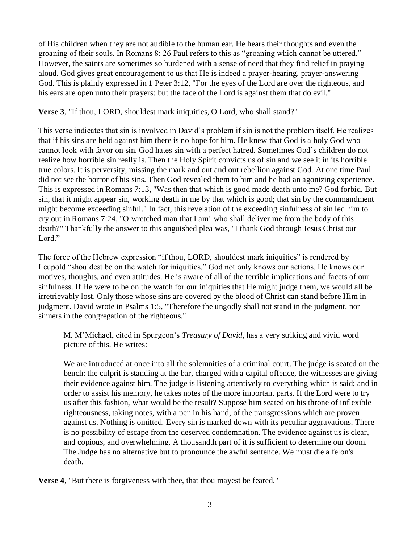of His children when they are not audible to the human ear. He hears their thoughts and even the groaning of their souls. In Romans 8: 26 Paul refers to this as "groaning which cannot be uttered." However, the saints are sometimes so burdened with a sense of need that they find relief in praying aloud. God gives great encouragement to us that He is indeed a prayer-hearing, prayer-answering God. This is plainly expressed in 1 Peter 3:12, "For the eyes of the Lord are over the righteous, and his ears are open unto their prayers: but the face of the Lord is against them that do evil."

**Verse 3**, "If thou, LORD, shouldest mark iniquities, O Lord, who shall stand?"

This verse indicates that sin is involved in David's problem if sin is not the problem itself. He realizes that if his sins are held against him there is no hope for him. He knew that God is a holy God who cannot look with favor on sin. God hates sin with a perfect hatred. Sometimes God's children do not realize how horrible sin really is. Then the Holy Spirit convicts us of sin and we see it in its horrible true colors. It is perversity, missing the mark and out and out rebellion against God. At one time Paul did not see the horror of his sins. Then God revealed them to him and he had an agonizing experience. This is expressed in Romans 7:13, "Was then that which is good made death unto me? God forbid. But sin, that it might appear sin, working death in me by that which is good; that sin by the commandment might become exceeding sinful." In fact, this revelation of the exceeding sinfulness of sin led him to cry out in Romans 7:24, "O wretched man that I am! who shall deliver me from the body of this death?" Thankfully the answer to this anguished plea was, "I thank God through Jesus Christ our Lord."

The force of the Hebrew expression "if thou, LORD, shouldest mark iniquities" is rendered by Leupold "shouldest be on the watch for iniquities." God not only knows our actions. He knows our motives, thoughts, and even attitudes. He is aware of all of the terrible implications and facets of our sinfulness. If He were to be on the watch for our iniquities that He might judge them, we would all be irretrievably lost. Only those whose sins are covered by the blood of Christ can stand before Him in judgment. David wrote in Psalms 1:5, "Therefore the ungodly shall not stand in the judgment, nor sinners in the congregation of the righteous."

M. M'Michael, cited in Spurgeon's *Treasury of David*, has a very striking and vivid word picture of this. He writes:

We are introduced at once into all the solemnities of a criminal court. The judge is seated on the bench: the culprit is standing at the bar, charged with a capital offence, the witnesses are giving their evidence against him. The judge is listening attentively to everything which is said; and in order to assist his memory, he takes notes of the more important parts. If the Lord were to try us after this fashion, what would be the result? Suppose him seated on his throne of inflexible righteousness, taking notes, with a pen in his hand, of the transgressions which are proven against us. Nothing is omitted. Every sin is marked down with its peculiar aggravations. There is no possibility of escape from the deserved condemnation. The evidence against us is clear, and copious, and overwhelming. A thousandth part of it is sufficient to determine our doom. The Judge has no alternative but to pronounce the awful sentence. We must die a felon's death.

**Verse 4**, "But there is forgiveness with thee, that thou mayest be feared."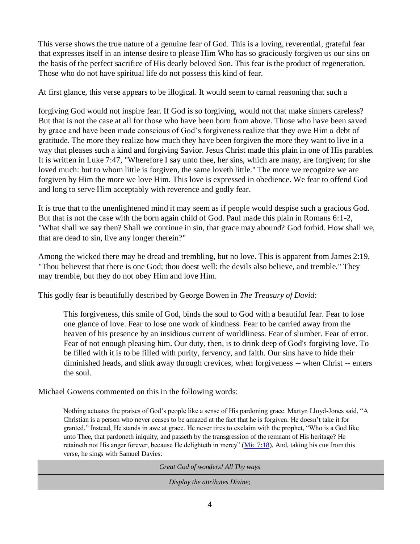This verse shows the true nature of a genuine fear of God. This is a loving, reverential, grateful fear that expresses itself in an intense desire to please Him Who has so graciously forgiven us our sins on the basis of the perfect sacrifice of His dearly beloved Son. This fear is the product of regeneration. Those who do not have spiritual life do not possess this kind of fear.

At first glance, this verse appears to be illogical. It would seem to carnal reasoning that such a

forgiving God would not inspire fear. If God is so forgiving, would not that make sinners careless? But that is not the case at all for those who have been born from above. Those who have been saved by grace and have been made conscious of God's forgiveness realize that they owe Him a debt of gratitude. The more they realize how much they have been forgiven the more they want to live in a way that pleases such a kind and forgiving Savior. Jesus Christ made this plain in one of His parables. It is written in Luke 7:47, "Wherefore I say unto thee, her sins, which are many, are forgiven; for she loved much: but to whom little is forgiven, the same loveth little." The more we recognize we are forgiven by Him the more we love Him. This love is expressed in obedience. We fear to offend God and long to serve Him acceptably with reverence and godly fear.

It is true that to the unenlightened mind it may seem as if people would despise such a gracious God. But that is not the case with the born again child of God. Paul made this plain in Romans 6:1-2, "What shall we say then? Shall we continue in sin, that grace may abound? God forbid. How shall we, that are dead to sin, live any longer therein?"

Among the wicked there may be dread and trembling, but no love. This is apparent from James 2:19, "Thou believest that there is one God; thou doest well: the devils also believe, and tremble." They may tremble, but they do not obey Him and love Him.

This godly fear is beautifully described by George Bowen in *The Treasury of David*:

This forgiveness, this smile of God, binds the soul to God with a beautiful fear. Fear to lose one glance of love. Fear to lose one work of kindness. Fear to be carried away from the heaven of his presence by an insidious current of worldliness. Fear of slumber. Fear of error. Fear of not enough pleasing him. Our duty, then, is to drink deep of God's forgiving love. To be filled with it is to be filled with purity, fervency, and faith. Our sins have to hide their diminished heads, and slink away through crevices, when forgiveness -- when Christ -- enters the soul.

Michael Gowens commented on this in the following words:

Nothing actuates the praises of God's people like a sense of His pardoning grace. Martyn Lloyd-Jones said, "A Christian is a person who never ceases to be amazed at the fact that he is forgiven. He doesn't take it for granted." Instead, He stands in awe at grace. He never tires to exclaim with the prophet, "Who is a God like unto Thee, that pardoneth iniquity, and passeth by the transgression of the remnant of His heritage? He retaineth not His anger forever, because He delighteth in mercy" (Mic 7:18). And, taking his cue from this verse, he sings with Samuel Davies:

*Great God of wonders! All Thy ways Display the attributes Divine;*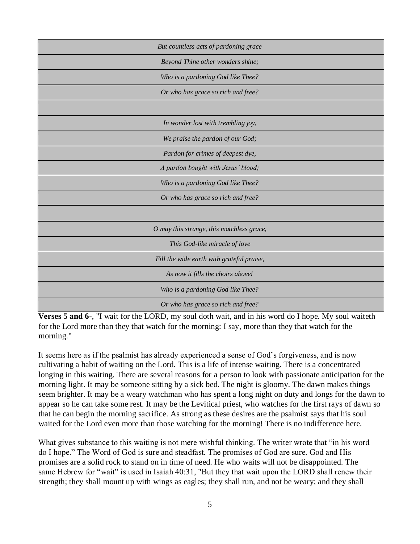| But countless acts of pardoning grace     |
|-------------------------------------------|
| Beyond Thine other wonders shine;         |
| Who is a pardoning God like Thee?         |
| Or who has grace so rich and free?        |
|                                           |
| In wonder lost with trembling joy,        |
| We praise the pardon of our God;          |
| Pardon for crimes of deepest dye,         |
| A pardon bought with Jesus' blood;        |
| Who is a pardoning God like Thee?         |
| Or who has grace so rich and free?        |
|                                           |
| O may this strange, this matchless grace, |
| This God-like miracle of love             |
| Fill the wide earth with grateful praise, |
| As now it fills the choirs above!         |
| Who is a pardoning God like Thee?         |
| Or who has grace so rich and free?        |

**Verses 5 and 6-**, "I wait for the LORD, my soul doth wait, and in his word do I hope. My soul waiteth for the Lord more than they that watch for the morning: I say, more than they that watch for the morning."

It seems here as if the psalmist has already experienced a sense of God's forgiveness, and is now cultivating a habit of waiting on the Lord. This is a life of intense waiting. There is a concentrated longing in this waiting. There are several reasons for a person to look with passionate anticipation for the morning light. It may be someone sitting by a sick bed. The night is gloomy. The dawn makes things seem brighter. It may be a weary watchman who has spent a long night on duty and longs for the dawn to appear so he can take some rest. It may be the Levitical priest, who watches for the first rays of dawn so that he can begin the morning sacrifice. As strong as these desires are the psalmist says that his soul waited for the Lord even more than those watching for the morning! There is no indifference here.

What gives substance to this waiting is not mere wishful thinking. The writer wrote that "in his word" do I hope." The Word of God is sure and steadfast. The promises of God are sure. God and His promises are a solid rock to stand on in time of need. He who waits will not be disappointed. The same Hebrew for "wait" is used in Isaiah 40:31, "But they that wait upon the LORD shall renew their strength; they shall mount up with wings as eagles; they shall run, and not be weary; and they shall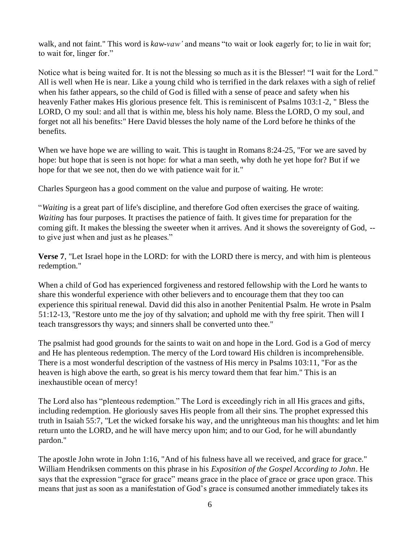walk, and not faint." This word is *kaw-vaw'* and means "to wait or look eagerly for; to lie in wait for; to wait for, linger for."

Notice what is being waited for. It is not the blessing so much as it is the Blesser! "I wait for the Lord." All is well when He is near. Like a young child who is terrified in the dark relaxes with a sigh of relief when his father appears, so the child of God is filled with a sense of peace and safety when his heavenly Father makes His glorious presence felt. This is reminiscent of Psalms 103:1-2, " Bless the LORD, O my soul: and all that is within me, bless his holy name. Bless the LORD, O my soul, and forget not all his benefits:" Here David blesses the holy name of the Lord before he thinks of the benefits.

When we have hope we are willing to wait. This is taught in Romans 8:24-25, "For we are saved by hope: but hope that is seen is not hope: for what a man seeth, why doth he yet hope for? But if we hope for that we see not, then do we with patience wait for it."

Charles Spurgeon has a good comment on the value and purpose of waiting. He wrote:

"*Waiting* is a great part of life's discipline, and therefore God often exercises the grace of waiting. *Waiting* has four purposes. It practises the patience of faith. It gives time for preparation for the coming gift. It makes the blessing the sweeter when it arrives. And it shows the sovereignty of God, - to give just when and just as he pleases."

**Verse 7**, "Let Israel hope in the LORD: for with the LORD there is mercy, and with him is plenteous redemption."

When a child of God has experienced forgiveness and restored fellowship with the Lord he wants to share this wonderful experience with other believers and to encourage them that they too can experience this spiritual renewal. David did this also in another Penitential Psalm. He wrote in Psalm 51:12-13, "Restore unto me the joy of thy salvation; and uphold me with thy free spirit. Then will I teach transgressors thy ways; and sinners shall be converted unto thee."

The psalmist had good grounds for the saints to wait on and hope in the Lord. God is a God of mercy and He has plenteous redemption. The mercy of the Lord toward His children is incomprehensible. There is a most wonderful description of the vastness of His mercy in Psalms 103:11, "For as the heaven is high above the earth, so great is his mercy toward them that fear him." This is an inexhaustible ocean of mercy!

The Lord also has "plenteous redemption." The Lord is exceedingly rich in all His graces and gifts, including redemption. He gloriously saves His people from all their sins. The prophet expressed this truth in Isaiah 55:7, "Let the wicked forsake his way, and the unrighteous man his thoughts: and let him return unto the LORD, and he will have mercy upon him; and to our God, for he will abundantly pardon."

The apostle John wrote in John 1:16, "And of his fulness have all we received, and grace for grace." William Hendriksen comments on this phrase in his *Exposition of the Gospel According to John*. He says that the expression "grace for grace" means grace in the place of grace or grace upon grace. This means that just as soon as a manifestation of God's grace is consumed another immediately takes its